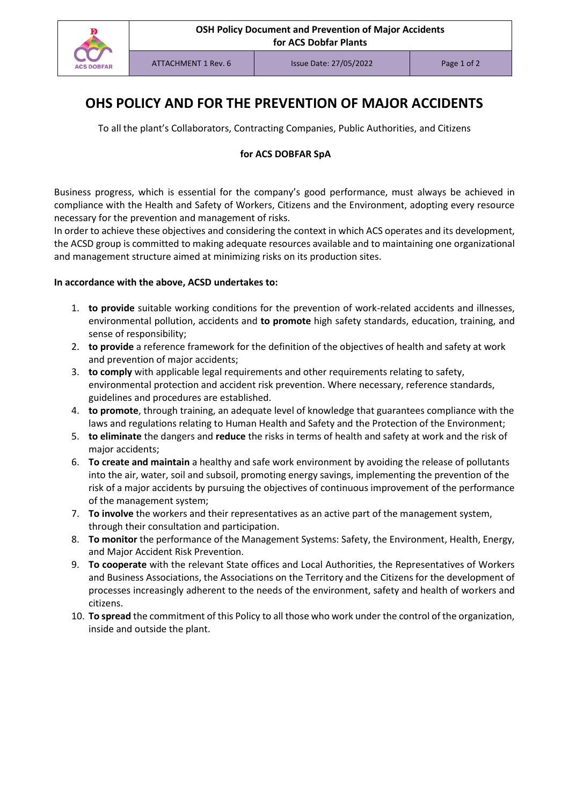

# **OHS POLICY AND FOR THE PREVENTION OF MAJOR ACCIDENTS**

To all the plant's Collaborators, Contracting Companies, Public Authorities, and Citizens

#### **for ACS DOBFAR SpA**

Business progress, which is essential for the company's good performance, must always be achieved in compliance with the Health and Safety of Workers, Citizens and the Environment, adopting every resource necessary for the prevention and management of risks.

In order to achieve these objectives and considering the context in which ACS operates and its development, the ACSD group is committed to making adequate resources available and to maintaining one organizational and management structure aimed at minimizing risks on its production sites.

#### **In accordance with the above, ACSD undertakes to:**

- 1. **to provide** suitable working conditions for the prevention of work-related accidents and illnesses, environmental pollution, accidents and **to promote** high safety standards, education, training, and sense of responsibility;
- 2. **to provide** a reference framework for the definition of the objectives of health and safety at work and prevention of major accidents;
- 3. **to comply** with applicable legal requirements and other requirements relating to safety, environmental protection and accident risk prevention. Where necessary, reference standards, guidelines and procedures are established.
- 4. **to promote**, through training, an adequate level of knowledge that guarantees compliance with the laws and regulations relating to Human Health and Safety and the Protection of the Environment;
- 5. **to eliminate** the dangers and **reduce** the risks in terms of health and safety at work and the risk of major accidents;
- 6. **To create and maintain** a healthy and safe work environment by avoiding the release of pollutants into the air, water, soil and subsoil, promoting energy savings, implementing the prevention of the risk of a major accidents by pursuing the objectives of continuous improvement of the performance of the management system;
- 7. **To involve** the workers and their representatives as an active part of the management system, through their consultation and participation.
- 8. **To monitor** the performance of the Management Systems: Safety, the Environment, Health, Energy, and Major Accident Risk Prevention.
- 9. **To cooperate** with the relevant State offices and Local Authorities, the Representatives of Workers and Business Associations, the Associations on the Territory and the Citizens for the development of processes increasingly adherent to the needs of the environment, safety and health of workers and citizens.
- 10. **To spread** the commitment of this Policy to all those who work under the control of the organization, inside and outside the plant.